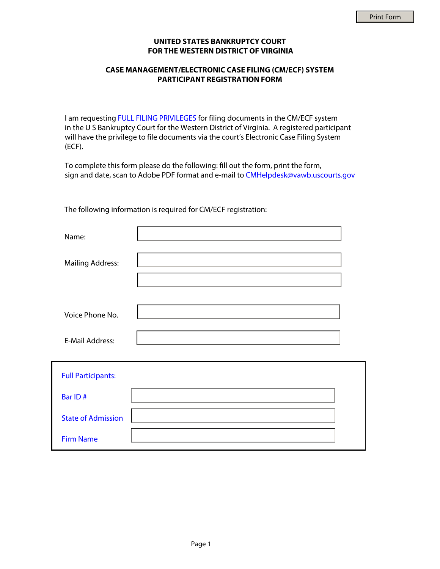## **UNITED STATES BANKRUPTCY COURT FOR THE WESTERN DISTRICT OF VIRGINIA**

## **CASE MANAGEMENT/ELECTRONIC CASE FILING (CM/ECF) SYSTEM PARTICIPANT REGISTRATION FORM**

I am requesting FULL FILING PRIVILEGES for filing documents in the CM/ECF system in the U S Bankruptcy Court for the Western District of Virginia. A registered participant will have the privilege to file documents via the court's Electronic Case Filing System (ECF).

To complete this form please do the following: fill out the form, print the form, sign and date, scan to Adobe PDF format and e-mail to CMHelpdesk@vawb.uscourts.gov

The following information is required for CM/ECF registration:

| Name:                     |  |
|---------------------------|--|
| <b>Mailing Address:</b>   |  |
| Voice Phone No.           |  |
| <b>E-Mail Address:</b>    |  |
| <b>Full Participants:</b> |  |
| Bar ID#                   |  |
| <b>State of Admission</b> |  |
| <b>Firm Name</b>          |  |